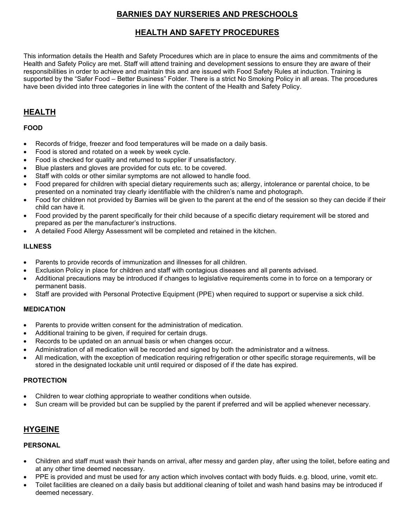# **BARNIES DAY NURSERIES AND PRESCHOOLS**

# **HEALTH AND SAFETY PROCEDURES**

This information details the Health and Safety Procedures which are in place to ensure the aims and commitments of the Health and Safety Policy are met. Staff will attend training and development sessions to ensure they are aware of their responsibilities in order to achieve and maintain this and are issued with Food Safety Rules at induction. Training is supported by the "Safer Food – Better Business" Folder. There is a strict No Smoking Policy in all areas. The procedures have been divided into three categories in line with the content of the Health and Safety Policy.

# **HEALTH**

### **FOOD**

- Records of fridge, freezer and food temperatures will be made on a daily basis.
- Food is stored and rotated on a week by week cycle.
- Food is checked for quality and returned to supplier if unsatisfactory.
- Blue plasters and gloves are provided for cuts etc. to be covered.
- Staff with colds or other similar symptoms are not allowed to handle food.
- Food prepared for children with special dietary requirements such as; allergy, intolerance or parental choice, to be presented on a nominated tray clearly identifiable with the children's name and photograph.
- Food for children not provided by Barnies will be given to the parent at the end of the session so they can decide if their child can have it.
- Food provided by the parent specifically for their child because of a specific dietary requirement will be stored and prepared as per the manufacturer's instructions.
- A detailed Food Allergy Assessment will be completed and retained in the kitchen.

### **ILLNESS**

- Parents to provide records of immunization and illnesses for all children.
- Exclusion Policy in place for children and staff with contagious diseases and all parents advised.
- Additional precautions may be introduced if changes to legislative requirements come in to force on a temporary or permanent basis.
- Staff are provided with Personal Protective Equipment (PPE) when required to support or supervise a sick child.

### **MEDICATION**

- Parents to provide written consent for the administration of medication.
- Additional training to be given, if required for certain drugs.
- Records to be updated on an annual basis or when changes occur.
- Administration of all medication will be recorded and signed by both the administrator and a witness.
- All medication, with the exception of medication requiring refrigeration or other specific storage requirements, will be stored in the designated lockable unit until required or disposed of if the date has expired.

### **PROTECTION**

- Children to wear clothing appropriate to weather conditions when outside.
- Sun cream will be provided but can be supplied by the parent if preferred and will be applied whenever necessary.

# **HYGEINE**

## **PERSONAL**

- Children and staff must wash their hands on arrival, after messy and garden play, after using the toilet, before eating and at any other time deemed necessary.
- PPE is provided and must be used for any action which involves contact with body fluids. e.g. blood, urine, vomit etc.
- Toilet facilities are cleaned on a daily basis but additional cleaning of toilet and wash hand basins may be introduced if deemed necessary.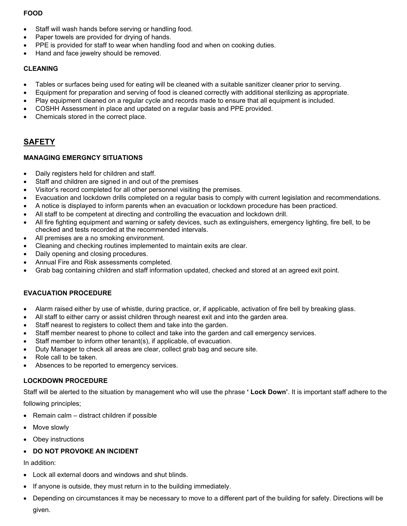## **FOOD**

- Staff will wash hands before serving or handling food.
- Paper towels are provided for drying of hands.
- PPE is provided for staff to wear when handling food and when on cooking duties.
- Hand and face jewelry should be removed.

### **CLEANING**

- Tables or surfaces being used for eating will be cleaned with a suitable sanitizer cleaner prior to serving.
- Equipment for preparation and serving of food is cleaned correctly with additional sterilizing as appropriate.
- Play equipment cleaned on a regular cycle and records made to ensure that all equipment is included.
- COSHH Assessment in place and updated on a regular basis and PPE provided.
- Chemicals stored in the correct place.

## **SAFETY**

### **MANAGING EMERGNCY SITUATIONS**

- Daily registers held for children and staff.
- Staff and children are signed in and out of the premises
- Visitor's record completed for all other personnel visiting the premises.
- Evacuation and lockdown drills completed on a regular basis to comply with current legislation and recommendations.
- A notice is displayed to inform parents when an evacuation or lockdown procedure has been practiced.
- All staff to be competent at directing and controlling the evacuation and lockdown drill.
- All fire fighting equipment and warning or safety devices, such as extinguishers, emergency lighting, fire bell, to be checked and tests recorded at the recommended intervals.
- All premises are a no smoking environment.
- Cleaning and checking routines implemented to maintain exits are clear.
- Daily opening and closing procedures.
- Annual Fire and Risk assessments completed.
- Grab bag containing children and staff information updated, checked and stored at an agreed exit point.

### **EVACUATION PROCEDURE**

- Alarm raised either by use of whistle, during practice, or, if applicable, activation of fire bell by breaking glass.
- All staff to either carry or assist children through nearest exit and into the garden area.
- Staff nearest to registers to collect them and take into the garden.
- Staff member nearest to phone to collect and take into the garden and call emergency services.
- Staff member to inform other tenant(s), if applicable, of evacuation.
- Duty Manager to check all areas are clear, collect grab bag and secure site.
- Role call to be taken.
- Absences to be reported to emergency services.

#### **LOCKDOWN PROCEDURE**

Staff will be alerted to the situation by management who will use the phrase **' Lock Down'**. It is important staff adhere to the

following principles;

- Remain calm distract children if possible
- Move slowly
- Obey instructions

### • **DO NOT PROVOKE AN INCIDENT**

In addition:

- Lock all external doors and windows and shut blinds.
- If anyone is outside, they must return in to the building immediately.
- Depending on circumstances it may be necessary to move to a different part of the building for safety. Directions will be given.